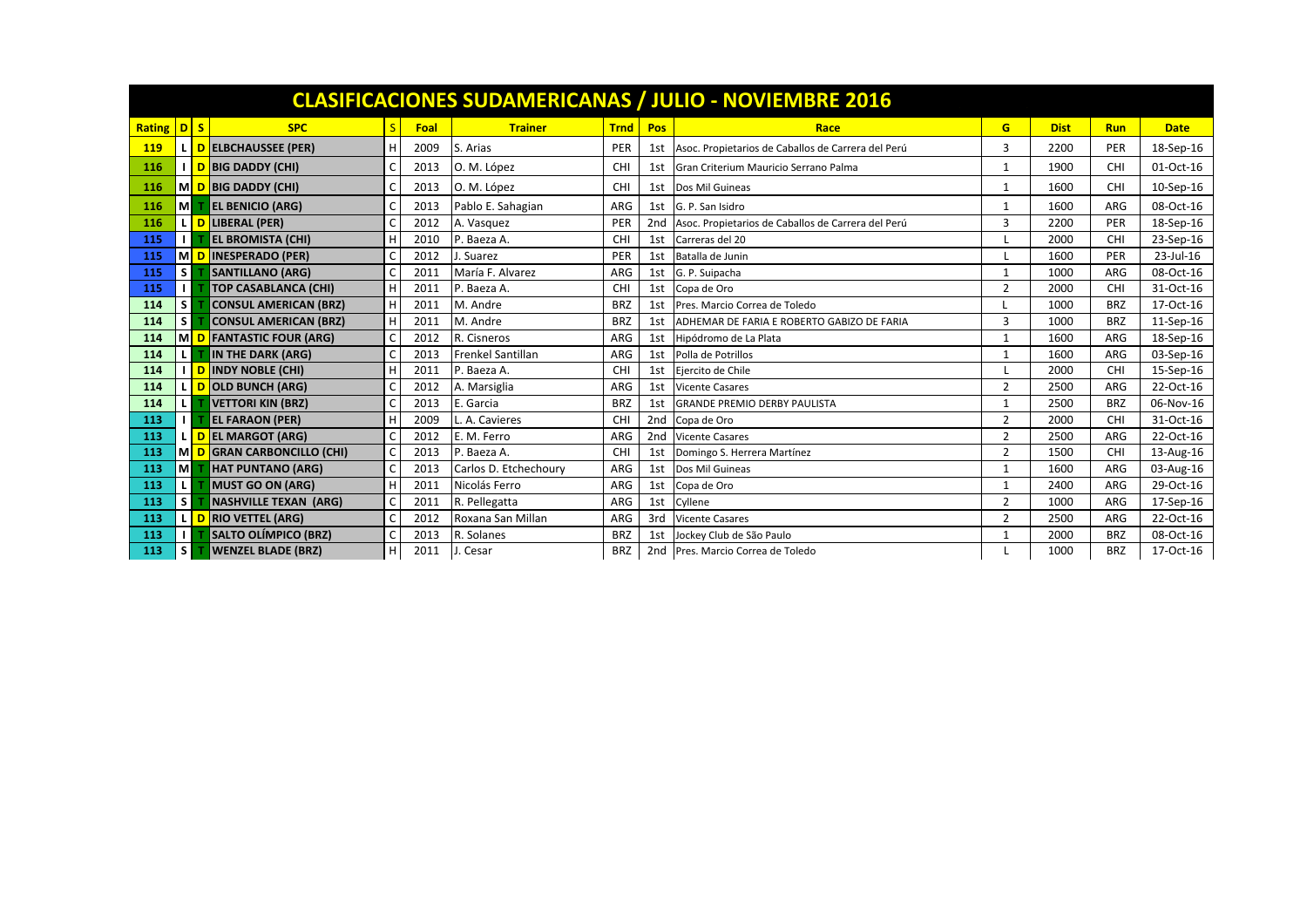| <b>CLASIFICACIONES SUDAMERICANAS / JULIO - NOVIEMBRE 2016</b> |                           |          |                                       |   |      |                       |             |                 |                                                    |                |             |            |             |
|---------------------------------------------------------------|---------------------------|----------|---------------------------------------|---|------|-----------------------|-------------|-----------------|----------------------------------------------------|----------------|-------------|------------|-------------|
| <b>Rating</b>                                                 | $\overline{\mathsf{D}}$ s |          | <b>SPC</b>                            | S | Foal | <b>Trainer</b>        | <b>Trnd</b> | Pos             | Race                                               | G              | <b>Dist</b> | <b>Run</b> | <b>Date</b> |
| <b>119</b>                                                    |                           |          | <b>DELBCHAUSSEE (PER)</b>             | н | 2009 | S. Arias              | PER         | 1st             | Asoc. Propietarios de Caballos de Carrera del Perú | 3              | 2200        | PER        | 18-Sep-16   |
| 116                                                           |                           |          | D BIG DADDY (CHI)                     |   | 2013 | O. M. López           | <b>CHI</b>  | 1st             | Gran Criterium Mauricio Serrano Palma              |                | 1900        | CHI        | 01-Oct-16   |
| 116                                                           |                           |          | M D BIG DADDY (CHI)                   |   | 2013 | O. M. López           | CHI         | 1st             | Dos Mil Guineas                                    |                | 1600        | CHI        | 10-Sep-16   |
| 116                                                           | м                         |          | <b>EL BENICIO (ARG)</b>               |   | 2013 | Pablo E. Sahagian     | ARG         | 1st             | G. P. San Isidro                                   |                | 1600        | ARG        | 08-Oct-16   |
| 116                                                           |                           |          | L D LIBERAL (PER)                     |   | 2012 | A. Vasquez            | PER         | 2 <sub>nd</sub> | Asoc. Propietarios de Caballos de Carrera del Perú | 3              | 2200        | PER        | 18-Sep-16   |
| 115                                                           | $\mathbf{L}$              |          | <b>EL BROMISTA (CHI)</b>              | H | 2010 | P. Baeza A.           | CHI         | 1st             | Carreras del 20                                    |                | 2000        | <b>CHI</b> | 23-Sep-16   |
| 115                                                           |                           |          | MONIBURBERADO (PER)                   |   | 2012 | J. Suarez             | PER         | 1st             | Batalla de Junin                                   |                | 1600        | PER        | 23-Jul-16   |
| 115                                                           | S                         |          | <b>SANTILLANO (ARG)</b>               |   | 2011 | María F. Alvarez      | ARG         | 1st             | G. P. Suipacha                                     | $\mathbf{1}$   | 1000        | ARG        | 08-Oct-16   |
| 115                                                           | $\mathbf{L}$              |          | <b>TOP CASABLANCA (CHI)</b>           | Н | 2011 | P. Baeza A.           | CHI         | 1st             | Copa de Oro                                        | $\overline{2}$ | 2000        | CHI        | 31-Oct-16   |
| 114                                                           | S                         |          | <b>CONSUL AMERICAN (BRZ)</b>          | H | 2011 | M. Andre              | <b>BRZ</b>  | 1st             | Pres. Marcio Correa de Toledo                      |                | 1000        | <b>BRZ</b> | 17-Oct-16   |
| 114                                                           | S.                        |          | <b>CONSUL AMERICAN (BRZ)</b>          | H | 2011 | M. Andre              | <b>BRZ</b>  | 1st             | ADHEMAR DE FARIA E ROBERTO GABIZO DE FARIA         | 3              | 1000        | <b>BRZ</b> | 11-Sep-16   |
| 114                                                           |                           |          | M <mark>D FANTASTIC FOUR (ARG)</mark> |   | 2012 | R. Cisneros           | ARG         | 1st             | Hipódromo de La Plata                              | $\mathbf{1}$   | 1600        | ARG        | 18-Sep-16   |
| 114                                                           |                           |          | IN THE DARK (ARG)                     |   | 2013 | Frenkel Santillan     | <b>ARG</b>  | 1st             | Polla de Potrillos                                 |                | 1600        | ARG        | 03-Sep-16   |
| 114                                                           |                           |          | I <mark>D </mark> INDY NOBLE (CHI)    | н | 2011 | P. Baeza A.           | CHI         | 1st             | Eiercito de Chile                                  |                | 2000        | CHI        | 15-Sep-16   |
| 114                                                           |                           | D        | <b>OLD BUNCH (ARG)</b>                |   | 2012 | A. Marsiglia          | ARG         | 1st             | <b>Vicente Casares</b>                             | $\overline{2}$ | 2500        | ARG        | 22-Oct-16   |
| 114                                                           | L.                        |          | <b>VETTORI KIN (BRZ)</b>              |   | 2013 | E. Garcia             | <b>BRZ</b>  | 1st             | <b>GRANDE PREMIO DERBY PAULISTA</b>                | $\mathbf{1}$   | 2500        | <b>BRZ</b> | 06-Nov-16   |
| 113                                                           | I.                        |          | <b>EL FARAON (PER)</b>                |   | 2009 | L. A. Cavieres        | CHI         | 2 <sub>nd</sub> | Copa de Oro                                        | $\overline{2}$ | 2000        | CHI        | 31-Oct-16   |
| 113                                                           |                           | <b>D</b> | <b>EL MARGOT (ARG)</b>                |   | 2012 | E. M. Ferro           | ARG         | 2 <sub>nd</sub> | <b>Vicente Casares</b>                             | $\overline{2}$ | 2500        | ARG        | 22-Oct-16   |
| 113                                                           |                           |          | M D GRAN CARBONCILLO (CHI)            |   | 2013 | P. Baeza A.           | CHI         | 1st             | Domingo S. Herrera Martínez                        | $\overline{2}$ | 1500        | CHI        | 13-Aug-16   |
| 113                                                           | мІ                        |          | <b>HAT PUNTANO (ARG)</b>              |   | 2013 | Carlos D. Etchechoury | ARG         | 1st             | Dos Mil Guineas                                    | 1              | 1600        | ARG        | 03-Aug-16   |
| 113                                                           | L.                        |          | <b>MUST GO ON (ARG)</b>               | Н | 2011 | Nicolás Ferro         | ARG         | 1st             | Copa de Oro                                        | $\mathbf{1}$   | 2400        | ARG        | 29-Oct-16   |
| 113                                                           | S.                        |          | <b>NASHVILLE TEXAN (ARG)</b>          |   | 2011 | R. Pellegatta         | ARG         | 1st             | Cyllene                                            | $\overline{2}$ | 1000        | ARG        | 17-Sep-16   |
| 113                                                           |                           |          | L D RIO VETTEL (ARG)                  |   | 2012 | Roxana San Millan     | ARG         | 3rd             | <b>Vicente Casares</b>                             | $\overline{2}$ | 2500        | ARG        | 22-Oct-16   |
| 113                                                           | $\mathbf{L}$              |          | <b>SALTO OLÍMPICO (BRZ)</b>           |   | 2013 | R. Solanes            | <b>BRZ</b>  | 1st             | Jockey Club de São Paulo                           | 1              | 2000        | <b>BRZ</b> | 08-Oct-16   |
| 113                                                           | s l                       |          | <b>WENZEL BLADE (BRZ)</b>             | H | 2011 | J. Cesar              | <b>BRZ</b>  |                 | 2nd Pres. Marcio Correa de Toledo                  |                | 1000        | <b>BRZ</b> | 17-Oct-16   |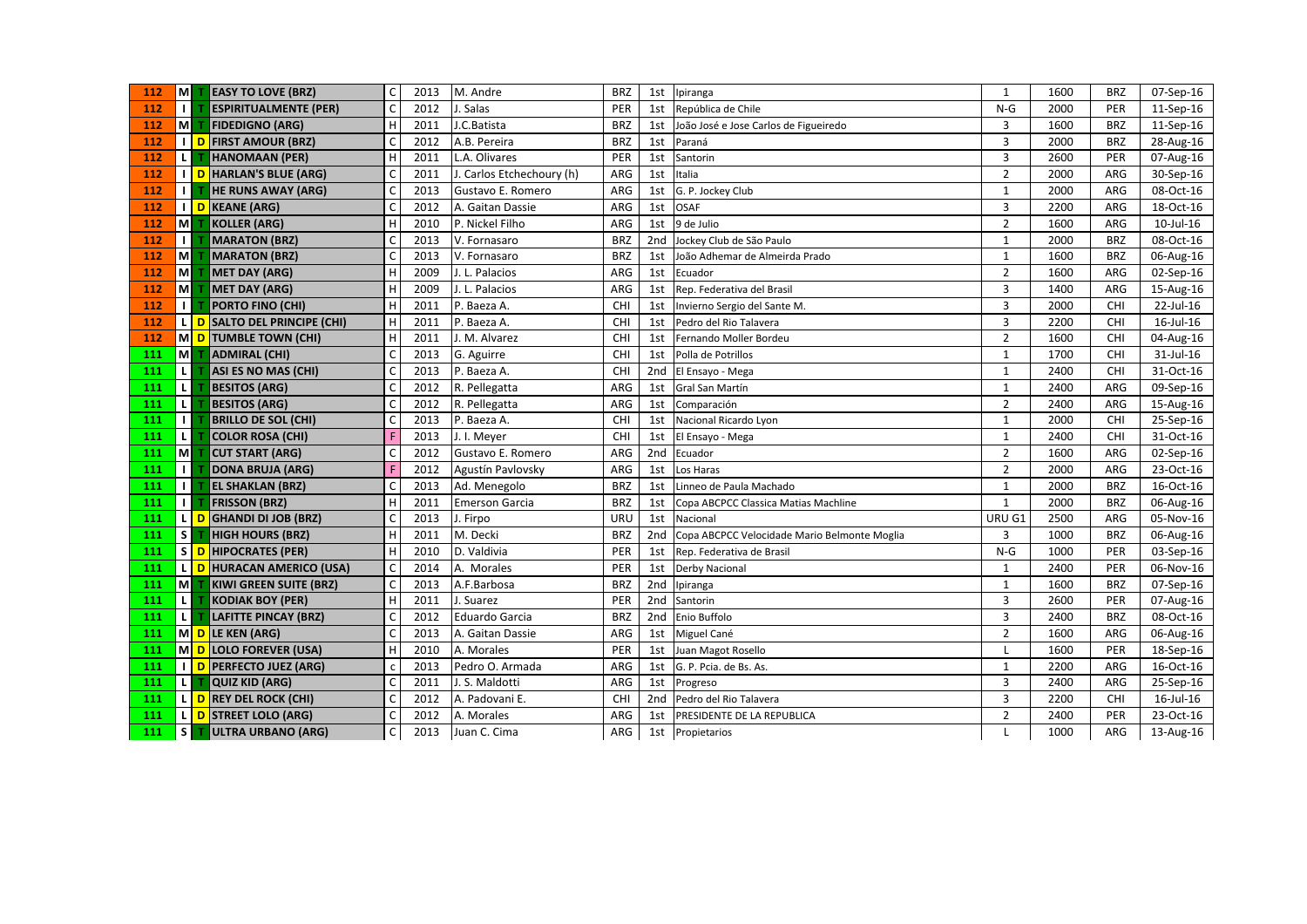| 112 | $\blacksquare$          | <b>EASY TO LOVE (BRZ)</b>    | $\mathsf{C}$ | 2013 | M. Andre                  | <b>BRZ</b> | 1st             | Ipiranga                                     | $\mathbf{1}$   | 1600 | <b>BRZ</b> | 07-Sep-16 |
|-----|-------------------------|------------------------------|--------------|------|---------------------------|------------|-----------------|----------------------------------------------|----------------|------|------------|-----------|
| 112 | $\mathbf{I}$            | <b>ESPIRITUALMENTE (PER)</b> | $\mathsf{C}$ | 2012 | J. Salas                  | PER        | 1st             | República de Chile                           | $N-G$          | 2000 | PER        | 11-Sep-16 |
| 112 | $\blacksquare$          | <b>FIDEDIGNO (ARG)</b>       | H            | 2011 | J.C.Batista               | <b>BRZ</b> | 1st             | João José e Jose Carlos de Figueiredo        | 3              | 1600 | <b>BRZ</b> | 11-Sep-16 |
| 112 |                         | I D FIRST AMOUR (BRZ)        | $\mathsf{C}$ | 2012 | A.B. Pereira              | <b>BRZ</b> | 1st             | Paraná                                       | $\overline{3}$ | 2000 | <b>BRZ</b> | 28-Aug-16 |
| 112 | L                       | <b>HANOMAAN (PER)</b>        | H            | 2011 | L.A. Olivares             | PER        | 1st             | Santorin                                     | 3              | 2600 | PER        | 07-Aug-16 |
| 112 | пI                      | D HARLAN'S BLUE (ARG)        | $\mathsf{C}$ | 2011 | J. Carlos Etchechoury (h) | ARG        | 1st             | Italia                                       | $\overline{2}$ | 2000 | ARG        | 30-Sep-16 |
| 112 | $\mathbf{I}$            | <b>HE RUNS AWAY (ARG)</b>    | C            | 2013 | Gustavo E. Romero         | ARG        | 1st             | G. P. Jockey Club                            | $1\,$          | 2000 | ARG        | 08-Oct-16 |
| 112 |                         | I D KEANE (ARG)              | C            | 2012 | A. Gaitan Dassie          | ARG        | 1st             | <b>OSAF</b>                                  | 3              | 2200 | ARG        | 18-Oct-16 |
| 112 | $\blacksquare$          | <b>KOLLER (ARG)</b>          | H            | 2010 | P. Nickel Filho           | ARG        | 1st             | 9 de Julio                                   | $\overline{2}$ | 1600 | ARG        | 10-Jul-16 |
| 112 | $\mathbf{I}$            | <b>MARATON (BRZ)</b>         | $\mathsf{C}$ | 2013 | V. Fornasaro              | <b>BRZ</b> | 2nd             | Jockey Club de São Paulo                     | $\mathbf 1$    | 2000 | <b>BRZ</b> | 08-Oct-16 |
| 112 | $\overline{\mathsf{M}}$ | <b>MARATON (BRZ)</b>         | $\mathsf{C}$ | 2013 | V. Fornasaro              | <b>BRZ</b> | 1st             | João Adhemar de Almeirda Prado               | $\mathbf{1}$   | 1600 | <b>BRZ</b> | 06-Aug-16 |
| 112 | $\overline{\mathsf{M}}$ | <b>MET DAY (ARG)</b>         | H            | 2009 | J. L. Palacios            | ARG        | 1st             | Ecuador                                      | $\overline{2}$ | 1600 | ARG        | 02-Sep-16 |
| 112 | $\overline{\mathsf{M}}$ | <b>MET DAY (ARG)</b>         | H            | 2009 | J. L. Palacios            | ARG        | 1st             | Rep. Federativa del Brasil                   | 3              | 1400 | ARG        | 15-Aug-16 |
| 112 | $\mathbf{I}$            | <b>PORTO FINO (CHI)</b>      | H            | 2011 | P. Baeza A.               | CHI        | 1st             | Invierno Sergio del Sante M.                 | 3              | 2000 | CHI        | 22-Jul-16 |
| 112 | $\mathsf{L}$            | D SALTO DEL PRINCIPE (CHI)   | H            | 2011 | P. Baeza A.               | CHI        | 1st             | Pedro del Rio Talavera                       | 3              | 2200 | CHI        | 16-Jul-16 |
| 112 |                         | M D TUMBLE TOWN (CHI)        | H            | 2011 | J. M. Alvarez             | <b>CHI</b> | 1st             | Fernando Moller Bordeu                       | $\overline{2}$ | 1600 | CHI        | 04-Aug-16 |
| 111 | Iм                      | ADMIRAL (CHI)                | C            | 2013 | G. Aguirre                | CHI        | 1st             | Polla de Potrillos                           | $\mathbf 1$    | 1700 | CHI        | 31-Jul-16 |
| 111 | $\overline{L}$          | ASI ES NO MAS (CHI)          | $\mathsf{C}$ | 2013 | P. Baeza A.               | <b>CHI</b> | 2 <sub>nd</sub> | El Ensayo - Mega                             | $\mathbf{1}$   | 2400 | CHI        | 31-Oct-16 |
| 111 | $\overline{\mathsf{L}}$ | <b>BESITOS (ARG)</b>         | C            | 2012 | R. Pellegatta             | ARG        | 1st             | Gral San Martín                              | $\mathbf 1$    | 2400 | ARG        | 09-Sep-16 |
| 111 | $\mathbf{L}$            | <b>BESITOS (ARG)</b>         | $\mathsf{C}$ | 2012 | R. Pellegatta             | ARG        | 1st             | Comparación                                  | $\overline{2}$ | 2400 | ARG        | 15-Aug-16 |
| 111 | $\mathbf{I}$            | <b>BRILLO DE SOL (CHI)</b>   | $\mathsf{C}$ | 2013 | P. Baeza A.               | CHI        | 1st             | Nacional Ricardo Lyon                        | $\mathbf 1$    | 2000 | CHI        | 25-Sep-16 |
| 111 | $\boxed{\mathsf{L}}$    | <b>COLOR ROSA (CHI)</b>      | F            | 2013 | J. I. Meyer               | <b>CHI</b> | 1st             | El Ensayo - Mega                             | $\mathbf 1$    | 2400 | CHI        | 31-Oct-16 |
| 111 | <b>M</b>                | <b>CUT START (ARG)</b>       | $\mathsf{C}$ | 2012 | Gustavo E. Romero         | ARG        | 2nd             | Ecuador                                      | $\overline{2}$ | 1600 | ARG        | 02-Sep-16 |
| 111 | $\mathbf{L}$            | <b>DONA BRUJA (ARG)</b>      |              | 2012 | Agustín Pavlovsky         | ARG        | 1st             | Los Haras                                    | $\overline{2}$ | 2000 | ARG        | 23-Oct-16 |
| 111 | $\Box$                  | <b>EL SHAKLAN (BRZ)</b>      | C            | 2013 | Ad. Menegolo              | <b>BRZ</b> | 1st             | Linneo de Paula Machado                      | $\mathbf{1}$   | 2000 | <b>BRZ</b> | 16-Oct-16 |
| 111 | $\mathbf{L}$            | <b>FRISSON (BRZ)</b>         | H            | 2011 | <b>Emerson Garcia</b>     | <b>BRZ</b> | 1st             | Copa ABCPCC Classica Matias Machline         | $\mathbf{1}$   | 2000 | <b>BRZ</b> | 06-Aug-16 |
| 111 |                         | L D GHANDI DI JOB (BRZ)      | $\mathsf{C}$ | 2013 | J. Firpo                  | URU        | 1st             | Nacional                                     | URU G1         | 2500 | ARG        | 05-Nov-16 |
| 111 | $\vert$ S               | <b>HIGH HOURS (BRZ)</b>      | H            | 2011 | M. Decki                  | <b>BRZ</b> | 2nd             | Copa ABCPCC Velocidade Mario Belmonte Moglia | 3              | 1000 | <b>BRZ</b> | 06-Aug-16 |
| 111 |                         | S D HIPOCRATES (PER)         | H            | 2010 | D. Valdivia               | PER        | 1st             | Rep. Federativa de Brasil                    | $N-G$          | 1000 | PER        | 03-Sep-16 |
| 111 |                         | L D HURACAN AMERICO (USA)    | $\mathsf{C}$ | 2014 | A. Morales                | PER        | 1st             | <b>Derby Nacional</b>                        | $\mathbf 1$    | 2400 | PER        | 06-Nov-16 |
| 111 | IмI                     | KIWI GREEN SUITE (BRZ)       | $\mathsf{C}$ | 2013 | A.F.Barbosa               | <b>BRZ</b> | 2nd             | Ipiranga                                     | $\mathbf 1$    | 1600 | <b>BRZ</b> | 07-Sep-16 |
| 111 | 1                       | <b>KODIAK BOY (PER)</b>      | H            | 2011 | J. Suarez                 | PER        | 2nd             | Santorin                                     | $\overline{3}$ | 2600 | PER        | 07-Aug-16 |
| 111 | $\overline{\mathsf{L}}$ | <b>LAFITTE PINCAY (BRZ)</b>  | $\mathsf{C}$ | 2012 | Eduardo Garcia            | <b>BRZ</b> | 2nd             | Enio Buffolo                                 | 3              | 2400 | <b>BRZ</b> | 08-Oct-16 |
| 111 |                         | M D LE KEN (ARG)             | $\mathsf{C}$ | 2013 | A. Gaitan Dassie          | ARG        | 1st             | Miguel Cané                                  | $\overline{2}$ | 1600 | ARG        | 06-Aug-16 |
| 111 |                         | M D LOLO FOREVER (USA)       | H            | 2010 | A. Morales                | PER        | 1st             | Juan Magot Rosello                           | L              | 1600 | PER        | 18-Sep-16 |
| 111 | - 1 I                   | D PERFECTO JUEZ (ARG)        | $\mathsf{C}$ | 2013 | Pedro O. Armada           | ARG        | 1st             | G. P. Pcia. de Bs. As.                       | $\mathbf 1$    | 2200 | ARG        | 16-Oct-16 |
| 111 | $\boxed{\mathsf{L}}$    | QUIZ KID (ARG)               | C            | 2011 | J. S. Maldotti            | ARG        | 1st             | Progreso                                     | 3              | 2400 | ARG        | 25-Sep-16 |
| 111 |                         | L D REY DEL ROCK (CHI)       | $\mathsf{C}$ | 2012 | A. Padovani E.            | <b>CHI</b> | 2nd             | Pedro del Rio Talavera                       | 3              | 2200 | CHI        | 16-Jul-16 |
| 111 |                         | L D STREET LOLO (ARG)        | $\mathsf{C}$ | 2012 | A. Morales                | ARG        | 1st             | PRESIDENTE DE LA REPUBLICA                   | $\overline{2}$ | 2400 | PER        | 23-Oct-16 |
| 111 | $\vert s \vert$         | <b>TULTRA URBANO (ARG)</b>   | $\mathsf{C}$ | 2013 | Juan C. Cima              | ARG        |                 | 1st Propietarios                             | L              | 1000 | ARG        | 13-Aug-16 |